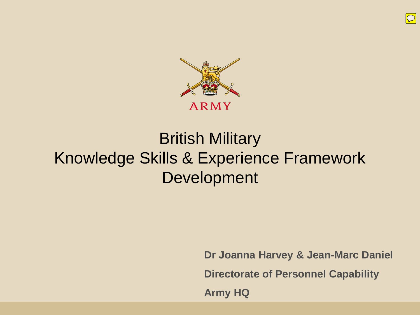

## British Military Knowledge Skills & Experience Framework Development

**Dr Joanna Harvey & Jean-Marc Daniel Directorate of Personnel Capability Army HQ**

 $\overline{D}$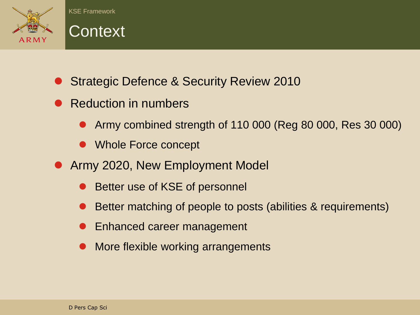



- Strategic Defence & Security Review 2010
- Reduction in numbers
	- Army combined strength of 110 000 (Reg 80 000, Res 30 000)
	- Whole Force concept
- **Army 2020, New Employment Model** 
	- Better use of KSE of personnel
	- Better matching of people to posts (abilities & requirements)
	- Enhanced career management
	- More flexible working arrangements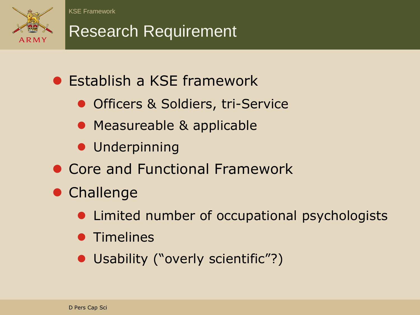

## Research Requirement

- **Establish a KSE framework** 
	- Officers & Soldiers, tri-Service
	- Measureable & applicable
	- **Underpinning**
- Core and Functional Framework
- **Challenge** 
	- Limited number of occupational psychologists
	- **Timelines**
	- Usability ("overly scientific"?)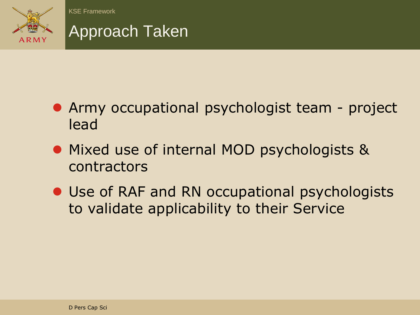

### Approach Taken

- Army occupational psychologist team project lead
- Mixed use of internal MOD psychologists & contractors
- Use of RAF and RN occupational psychologists to validate applicability to their Service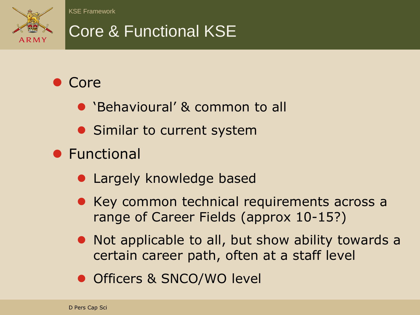

# Core & Functional KSE

### • Core

- 'Behavioural' & common to all
- Similar to current system
- **•** Functional
	- **Largely knowledge based**
	- Key common technical requirements across a range of Career Fields (approx 10-15?)
	- Not applicable to all, but show ability towards a certain career path, often at a staff level
	- Officers & SNCO/WO level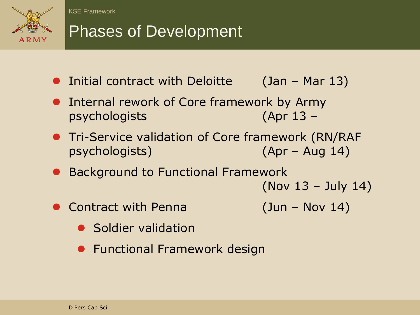

## Phases of Development

- Initial contract with Deloitte (Jan Mar 13)
- **•** Internal rework of Core framework by Army psychologists (Apr 13 –
- **Tri-Service validation of Core framework (RN/RAF** psychologists) (Apr – Aug 14)
- Background to Functional Framework
	- (Nov 13 July 14)
- Contract with Penna (Jun Nov 14)
- 

- Soldier validation
- **Functional Framework design**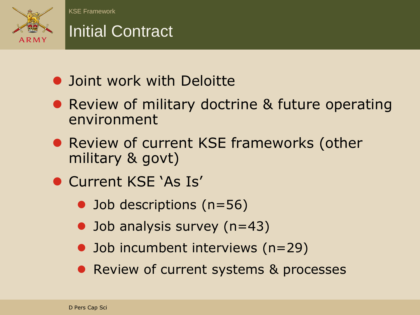

## Initial Contract

- **Joint work with Deloitte**
- Review of military doctrine & future operating environment
- Review of current KSE frameworks (other military & govt)
- **Current KSE 'As Is'** 
	- Job descriptions (n=56)
	- Job analysis survey (n=43)
	- Job incumbent interviews (n=29)
	- Review of current systems & processes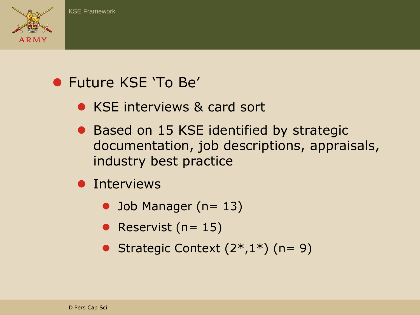

### Future KSE 'To Be'

- KSE interviews & card sort
- Based on 15 KSE identified by strategic documentation, job descriptions, appraisals, industry best practice
- **•** Interviews
	- $\bullet$  Job Manager (n= 13)
	- Reservist ( $n= 15$ )
	- Strategic Context  $(2^*,1^*)$  (n= 9)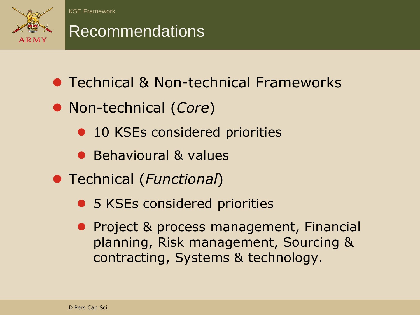

### Recommendations

- **Technical & Non-technical Frameworks**
- Non-technical (*Core*)
	- 10 KSEs considered priorities
	- Behavioural & values
- Technical (*Functional*)
	- 5 KSEs considered priorities
	- **Project & process management, Financial** planning, Risk management, Sourcing & contracting, Systems & technology.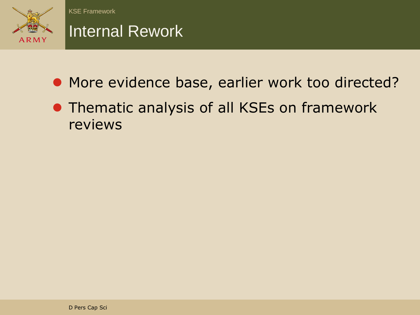

### Internal Rework

- More evidence base, earlier work too directed?
- **Thematic analysis of all KSEs on framework** reviews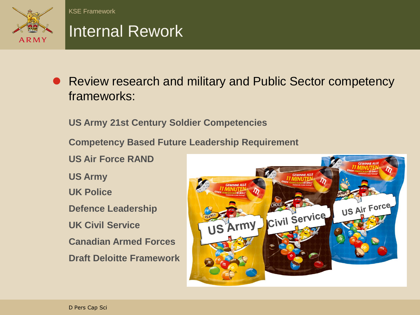

### Internal Rework

● Review research and military and Public Sector competency frameworks:

**US Army 21st Century Soldier Competencies**

**Competency Based Future Leadership Requirement**

**US Air Force RAND**

**US Army**

**UK Police**

**Defence Leadership**

**UK Civil Service**

**Canadian Armed Forces**

**Draft Deloitte Framework**

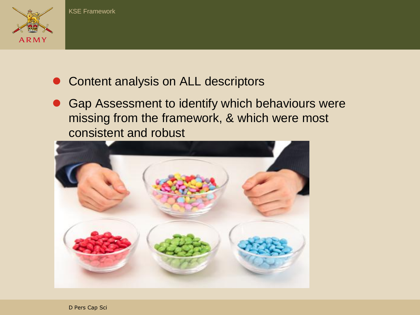

- Content analysis on ALL descriptors
- **Gap Assessment to identify which behaviours were** missing from the framework, & which were most consistent and robust

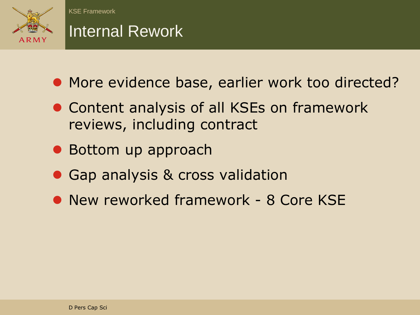

### Internal Rework

- More evidence base, earlier work too directed?
- Content analysis of all KSEs on framework reviews, including contract
- Bottom up approach
- Gap analysis & cross validation
- New reworked framework 8 Core KSE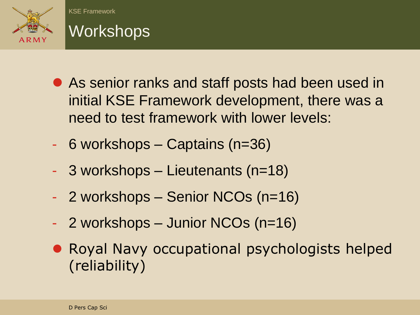

## **Workshops**

- As senior ranks and staff posts had been used in initial KSE Framework development, there was a need to test framework with lower levels:
- 6 workshops Captains (n=36)
- 3 workshops Lieutenants (n=18)
- 2 workshops Senior NCOs (n=16)
- 2 workshops Junior NCOs (n=16)
- Royal Navy occupational psychologists helped (reliability)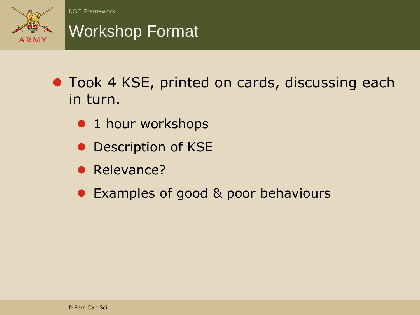

### Workshop Format

- **Took 4 KSE, printed on cards, discussing each** in turn.
	- 1 hour workshops
	- Description of KSE
	- Relevance?
	- Examples of good & poor behaviours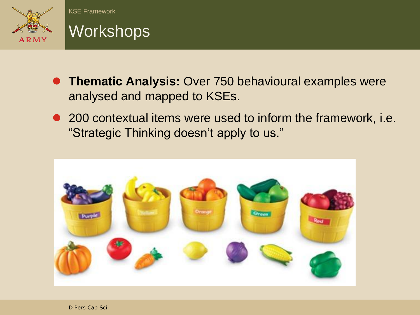



- **Thematic Analysis:** Over 750 behavioural examples were analysed and mapped to KSEs.
- 200 contextual items were used to inform the framework, i.e. "Strategic Thinking doesn't apply to us."

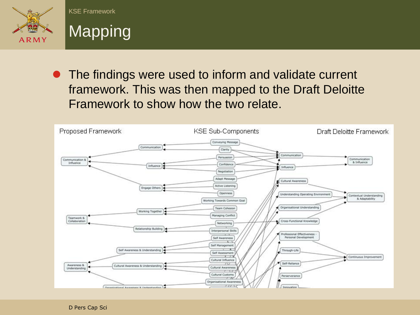



• The findings were used to inform and validate current framework. This was then mapped to the Draft Deloitte Framework to show how the two relate.

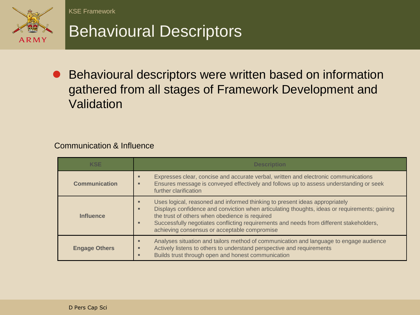

## Behavioural Descriptors

● Behavioural descriptors were written based on information gathered from all stages of Framework Development and Validation

#### Communication & Influence

| <b>KSE</b>           | <b>Description</b>                                                                                                                                                                                                                                                                                                                                                                  |  |
|----------------------|-------------------------------------------------------------------------------------------------------------------------------------------------------------------------------------------------------------------------------------------------------------------------------------------------------------------------------------------------------------------------------------|--|
| <b>Communication</b> | Expresses clear, concise and accurate verbal, written and electronic communications<br>Ensures message is conveyed effectively and follows up to assess understanding or seek<br>further clarification                                                                                                                                                                              |  |
| <b>Influence</b>     | Uses logical, reasoned and informed thinking to present ideas appropriately<br>Displays confidence and conviction when articulating thoughts, ideas or requirements; gaining<br>п<br>the trust of others when obedience is required<br>Successfully negotiates conflicting requirements and needs from different stakeholders,<br>п<br>achieving consensus or acceptable compromise |  |
| <b>Engage Others</b> | Analyses situation and tailors method of communication and language to engage audience<br>Actively listens to others to understand perspective and requirements<br>Builds trust through open and honest communication                                                                                                                                                               |  |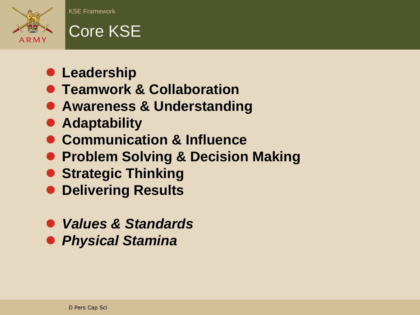

# Core KSE

- **Leadership**
- **Teamwork & Collaboration**
- **Awareness & Understanding**
- **Adaptability**
- **Communication & Influence**
- **Problem Solving & Decision Making**
- **Strategic Thinking**
- **Delivering Results**
- *Values & Standards*
- *Physical Stamina*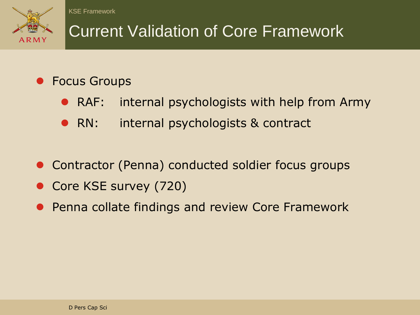

# Current Validation of Core Framework

### Focus Groups

- RAF: internal psychologists with help from Army
- RN: internal psychologists & contract
- Contractor (Penna) conducted soldier focus groups
- Core KSE survey (720)
- **Penna collate findings and review Core Framework**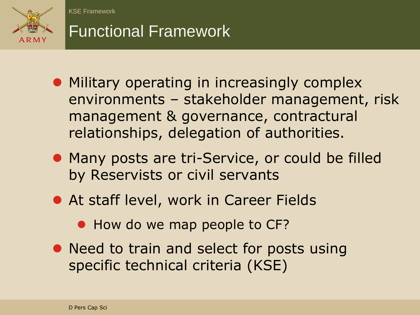

## Functional Framework

- **Military operating in increasingly complex** environments – stakeholder management, risk management & governance, contractural relationships, delegation of authorities.
- Many posts are tri-Service, or could be filled by Reservists or civil servants
- **At staff level, work in Career Fields** 
	- How do we map people to CF?
- Need to train and select for posts using specific technical criteria (KSE)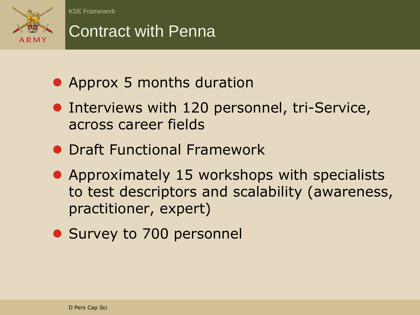

## Contract with Penna

- Approx 5 months duration
- **Interviews with 120 personnel, tri-Service,** across career fields
- **Draft Functional Framework**
- Approximately 15 workshops with specialists to test descriptors and scalability (awareness, practitioner, expert)
- Survey to 700 personnel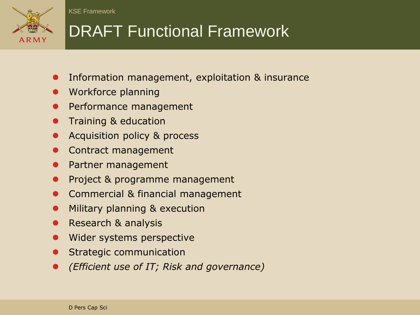

# DRAFT Functional Framework

- Information management, exploitation & insurance
- Workforce planning
- Performance management
- Training & education
- Acquisition policy & process
- Contract management
- Partner management
- Project & programme management
- Commercial & financial management
- Military planning & execution
- Research & analysis
- Wider systems perspective
- Strategic communication
- *(Efficient use of IT; Risk and governance)*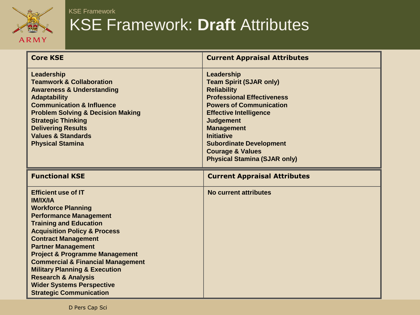

### KSE Framework: **Draft** Attributes

| <b>Core KSE</b>                                                                                                                                                                                                                                                                                                                                                                                                                                                                                     | <b>Current Appraisal Attributes</b>                                                                                                                                                                                                                                                                                                              |
|-----------------------------------------------------------------------------------------------------------------------------------------------------------------------------------------------------------------------------------------------------------------------------------------------------------------------------------------------------------------------------------------------------------------------------------------------------------------------------------------------------|--------------------------------------------------------------------------------------------------------------------------------------------------------------------------------------------------------------------------------------------------------------------------------------------------------------------------------------------------|
| Leadership<br><b>Teamwork &amp; Collaboration</b><br><b>Awareness &amp; Understanding</b><br><b>Adaptability</b><br><b>Communication &amp; Influence</b><br><b>Problem Solving &amp; Decision Making</b><br><b>Strategic Thinking</b><br><b>Delivering Results</b><br><b>Values &amp; Standards</b><br><b>Physical Stamina</b>                                                                                                                                                                      | Leadership<br><b>Team Spirit (SJAR only)</b><br><b>Reliability</b><br><b>Professional Effectiveness</b><br><b>Powers of Communication</b><br><b>Effective Intelligence</b><br><b>Judgement</b><br><b>Management</b><br><b>Initiative</b><br><b>Subordinate Development</b><br><b>Courage &amp; Values</b><br><b>Physical Stamina (SJAR only)</b> |
| <b>Functional KSE</b>                                                                                                                                                                                                                                                                                                                                                                                                                                                                               | <b>Current Appraisal Attributes</b>                                                                                                                                                                                                                                                                                                              |
| <b>Efficient use of IT</b><br><b>IM/IX/IA</b><br><b>Workforce Planning</b><br><b>Performance Management</b><br><b>Training and Education</b><br><b>Acquisition Policy &amp; Process</b><br><b>Contract Management</b><br><b>Partner Management</b><br><b>Project &amp; Programme Management</b><br><b>Commercial &amp; Financial Management</b><br><b>Military Planning &amp; Execution</b><br><b>Research &amp; Analysis</b><br><b>Wider Systems Perspective</b><br><b>Strategic Communication</b> | No current attributes                                                                                                                                                                                                                                                                                                                            |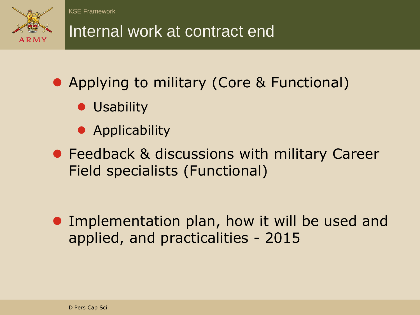

# Internal work at contract end

- Applying to military (Core & Functional)
	- **Usability**
	- **•** Applicability
- **Feedback & discussions with military Career** Field specialists (Functional)

**• Implementation plan, how it will be used and** applied, and practicalities - 2015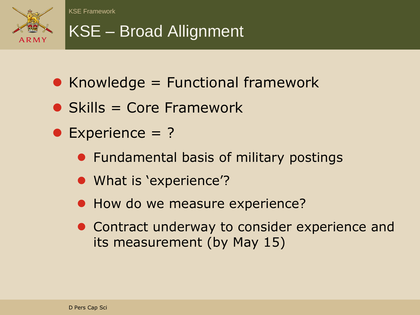

## KSE – Broad Allignment

- $\bullet$  Knowledge = Functional framework
- $\bullet$  Skills = Core Framework
- Experience = ?
	- **•** Fundamental basis of military postings
	- What is 'experience'?
	- How do we measure experience?
	- **Contract underway to consider experience and** its measurement (by May 15)